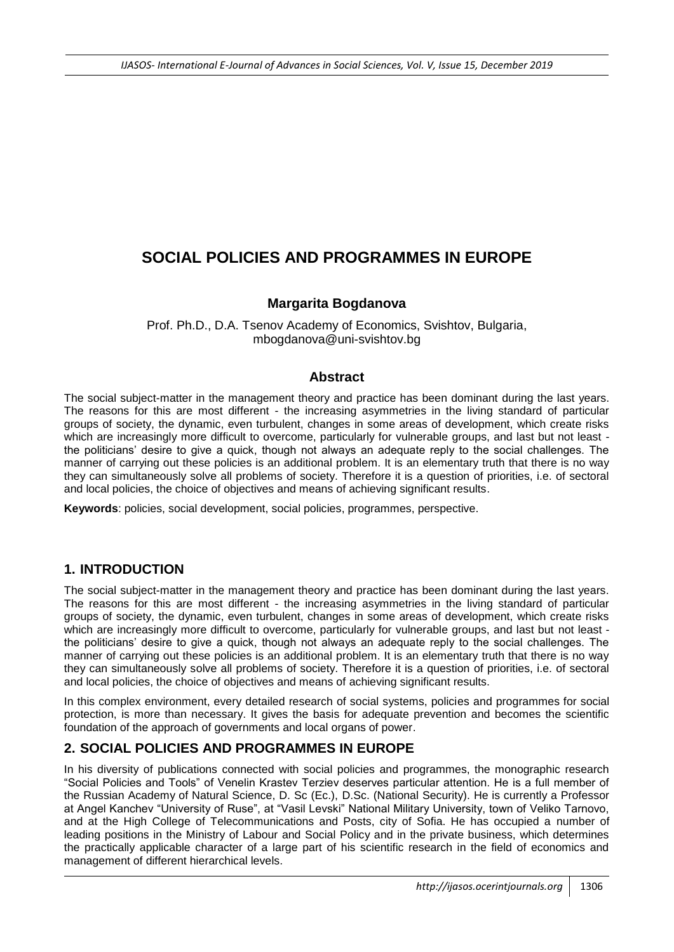# **SOCIAL POLICIES AND PROGRAMMES IN EUROPE**

### **Margarita Bogdanova**

Prof. Ph.D., D.A. Tsenov Academy of Economics, Svishtov, Bulgaria, mbogdanova@uni-svishtov.bg

### **Abstract**

The social subject-matter in the management theory and practice has been dominant during the last years. The reasons for this are most different - the increasing asymmetries in the living standard of particular groups of society, the dynamic, even turbulent, changes in some areas of development, which create risks which are increasingly more difficult to overcome, particularly for vulnerable groups, and last but not least the politicians" desire to give a quick, though not always an adequate reply to the social challenges. The manner of carrying out these policies is an additional problem. It is an elementary truth that there is no way they can simultaneously solve all problems of society. Therefore it is a question of priorities, i.e. of sectoral and local policies, the choice of objectives and means of achieving significant results.

**Keywords**: policies, social development, social policies, programmes, perspective.

## **1. INTRODUCTION**

The social subject-matter in the management theory and practice has been dominant during the last years. The reasons for this are most different - the increasing asymmetries in the living standard of particular groups of society, the dynamic, even turbulent, changes in some areas of development, which create risks which are increasingly more difficult to overcome, particularly for vulnerable groups, and last but not least the politicians" desire to give a quick, though not always an adequate reply to the social challenges. The manner of carrying out these policies is an additional problem. It is an elementary truth that there is no way they can simultaneously solve all problems of society. Therefore it is a question of priorities, i.e. of sectoral and local policies, the choice of objectives and means of achieving significant results.

In this complex environment, every detailed research of social systems, policies and programmes for social protection, is more than necessary. It gives the basis for adequate prevention and becomes the scientific foundation of the approach of governments and local organs of power.

## **2. SOCIAL POLICIES AND PROGRAMMES IN EUROPE**

In his diversity of publications connected with social policies and programmes, the monographic research "Social Policies and Tools" of Venelin Krastev Terziev deserves particular attention. He is a full member of the Russian Academy of Natural Science, D. Sc (Ec.), D.Sc. (National Security). He is currently a Professor at Angel Kanchev "University of Ruse", at "Vasil Levski" National Military University, town of Veliko Tarnovo, and at the High College of Telecommunications and Posts, city of Sofia. He has occupied a number of leading positions in the Ministry of Labour and Social Policy and in the private business, which determines the practically applicable character of a large part of his scientific research in the field of economics and management of different hierarchical levels.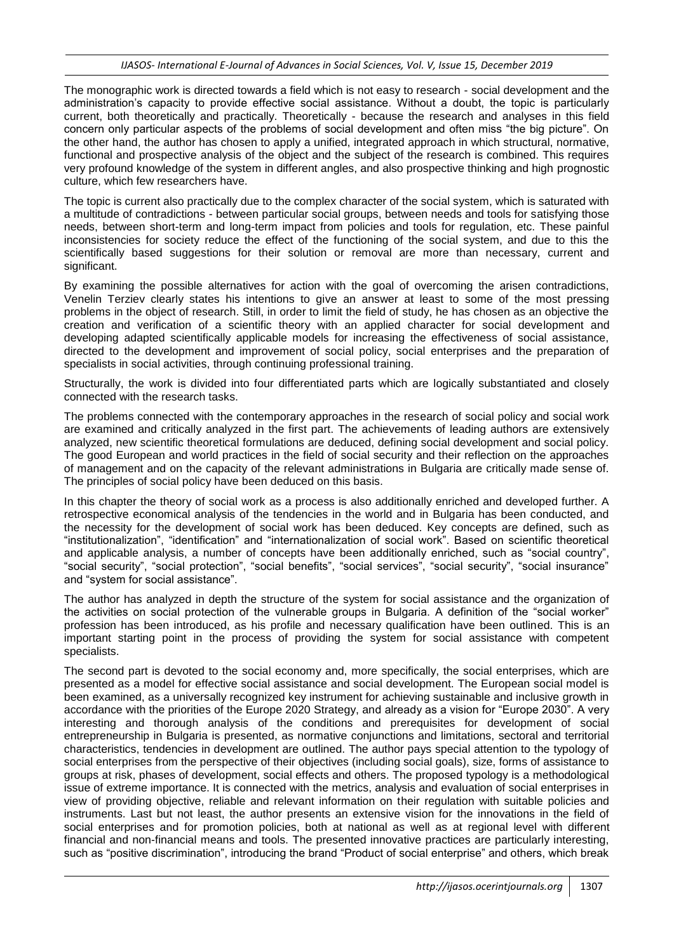The monographic work is directed towards a field which is not easy to research - social development and the administration"s capacity to provide effective social assistance. Without a doubt, the topic is particularly current, both theoretically and practically. Theoretically - because the research and analyses in this field concern only particular aspects of the problems of social development and often miss "the big picture". On the other hand, the author has chosen to apply a unified, integrated approach in which structural, normative, functional and prospective analysis of the object and the subject of the research is combined. This requires very profound knowledge of the system in different angles, and also prospective thinking and high prognostic culture, which few researchers have.

The topic is current also practically due to the complex character of the social system, which is saturated with a multitude of contradictions - between particular social groups, between needs and tools for satisfying those needs, between short-term and long-term impact from policies and tools for regulation, etc. These painful inconsistencies for society reduce the effect of the functioning of the social system, and due to this the scientifically based suggestions for their solution or removal are more than necessary, current and significant.

By examining the possible alternatives for action with the goal of overcoming the arisen contradictions, Venelin Terziev clearly states his intentions to give an answer at least to some of the most pressing problems in the object of research. Still, in order to limit the field of study, he has chosen as an objective the creation and verification of a scientific theory with an applied character for social development and developing adapted scientifically applicable models for increasing the effectiveness of social assistance, directed to the development and improvement of social policy, social enterprises and the preparation of specialists in social activities, through continuing professional training.

Structurally, the work is divided into four differentiated parts which are logically substantiated and closely connected with the research tasks.

The problems connected with the contemporary approaches in the research of social policy and social work are examined and critically analyzed in the first part. The achievements of leading authors are extensively analyzed, new scientific theoretical formulations are deduced, defining social development and social policy. The good European and world practices in the field of social security and their reflection on the approaches of management and on the capacity of the relevant administrations in Bulgaria are critically made sense of. The principles of social policy have been deduced on this basis.

In this chapter the theory of social work as a process is also additionally enriched and developed further. A retrospective economical analysis of the tendencies in the world and in Bulgaria has been conducted, and the necessity for the development of social work has been deduced. Key concepts are defined, such as "institutionalization", "identification" and "internationalization of social work". Based on scientific theoretical and applicable analysis, a number of concepts have been additionally enriched, such as "social country", "social security", "social protection", "social benefits", "social services", "social security", "social insurance" and "system for social assistance".

The author has analyzed in depth the structure of the system for social assistance and the organization of the activities on social protection of the vulnerable groups in Bulgaria. A definition of the "social worker" profession has been introduced, as his profile and necessary qualification have been outlined. This is an important starting point in the process of providing the system for social assistance with competent specialists.

The second part is devoted to the social economy and, more specifically, the social enterprises, which are presented as a model for effective social assistance and social development. The European social model is been examined, as a universally recognized key instrument for achieving sustainable and inclusive growth in accordance with the priorities of the Europe 2020 Strategy, and already as a vision for "Europe 2030". A very interesting and thorough analysis of the conditions and prerequisites for development of social entrepreneurship in Bulgaria is presented, as normative conjunctions and limitations, sectoral and territorial characteristics, tendencies in development are outlined. The author pays special attention to the typology of social enterprises from the perspective of their objectives (including social goals), size, forms of assistance to groups at risk, phases of development, social effects and others. The proposed typology is a methodological issue of extreme importance. It is connected with the metrics, analysis and evaluation of social enterprises in view of providing objective, reliable and relevant information on their regulation with suitable policies and instruments. Last but not least, the author presents an extensive vision for the innovations in the field of social enterprises and for promotion policies, both at national as well as at regional level with different financial and non-financial means and tools. The presented innovative practices are particularly interesting, such as "positive discrimination", introducing the brand "Product of social enterprise" and others, which break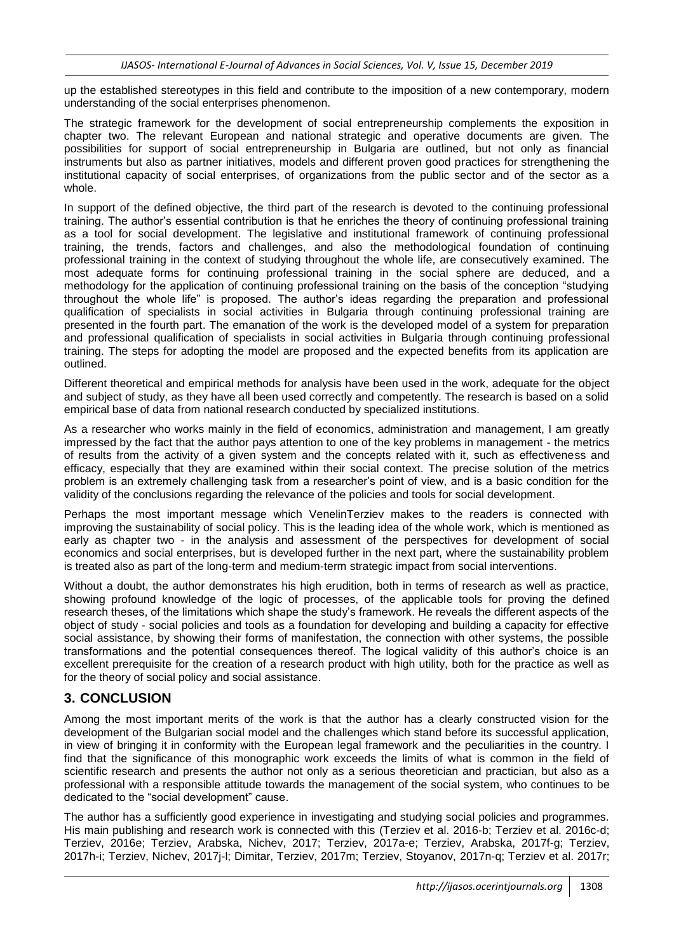up the established stereotypes in this field and contribute to the imposition of a new contemporary, modern understanding of the social enterprises phenomenon.

The strategic framework for the development of social entrepreneurship complements the exposition in chapter two. The relevant European and national strategic and operative documents are given. The possibilities for support of social entrepreneurship in Bulgaria are outlined, but not only as financial instruments but also as partner initiatives, models and different proven good practices for strengthening the institutional capacity of social enterprises, of organizations from the public sector and of the sector as a whole.

In support of the defined objective, the third part of the research is devoted to the continuing professional training. The author"s essential contribution is that he enriches the theory of continuing professional training as a tool for social development. The legislative and institutional framework of continuing professional training, the trends, factors and challenges, and also the methodological foundation of continuing professional training in the context of studying throughout the whole life, are consecutively examined. The most adequate forms for continuing professional training in the social sphere are deduced, and a methodology for the application of continuing professional training on the basis of the conception "studying throughout the whole life" is proposed. The author"s ideas regarding the preparation and professional qualification of specialists in social activities in Bulgaria through continuing professional training are presented in the fourth part. The emanation of the work is the developed model of a system for preparation and professional qualification of specialists in social activities in Bulgaria through continuing professional training. The steps for adopting the model are proposed and the expected benefits from its application are outlined.

Different theoretical and empirical methods for analysis have been used in the work, adequate for the object and subject of study, as they have all been used correctly and competently. The research is based on a solid empirical base of data from national research conducted by specialized institutions.

As a researcher who works mainly in the field of economics, administration and management, I am greatly impressed by the fact that the author pays attention to one of the key problems in management - the metrics of results from the activity of a given system and the concepts related with it, such as effectiveness and efficacy, especially that they are examined within their social context. The precise solution of the metrics problem is an extremely challenging task from a researcher"s point of view, and is a basic condition for the validity of the conclusions regarding the relevance of the policies and tools for social development.

Perhaps the most important message which VenelinTerziev makes to the readers is connected with improving the sustainability of social policy. This is the leading idea of the whole work, which is mentioned as early as chapter two - in the analysis and assessment of the perspectives for development of social economics and social enterprises, but is developed further in the next part, where the sustainability problem is treated also as part of the long-term and medium-term strategic impact from social interventions.

Without a doubt, the author demonstrates his high erudition, both in terms of research as well as practice, showing profound knowledge of the logic of processes, of the applicable tools for proving the defined research theses, of the limitations which shape the study"s framework. He reveals the different aspects of the object of study - social policies and tools as a foundation for developing and building a capacity for effective social assistance, by showing their forms of manifestation, the connection with other systems, the possible transformations and the potential consequences thereof. The logical validity of this author"s choice is an excellent prerequisite for the creation of a research product with high utility, both for the practice as well as for the theory of social policy and social assistance.

## **3. CONCLUSION**

Among the most important merits of the work is that the author has a clearly constructed vision for the development of the Bulgarian social model and the challenges which stand before its successful application, in view of bringing it in conformity with the European legal framework and the peculiarities in the country. I find that the significance of this monographic work exceeds the limits of what is common in the field of scientific research and presents the author not only as a serious theoretician and practician, but also as a professional with a responsible attitude towards the management of the social system, who continues to be dedicated to the "social development" cause.

The author has a sufficiently good experience in investigating and studying social policies and programmes. His main publishing and research work is connected with this (Terziev et al. 2016-b; Terziev et al. 2016c-d; Terziev, 2016e; Terziev, Arabska, Nichev, 2017; Terziev, 2017a-e; Terziev, Arabska, 2017f-g; Terziev, 2017h-i; Terziev, Nichev, 2017j-l; Dimitar, Terziev, 2017m; Terziev, Stoyanov, 2017n-q; Terziev et al. 2017r;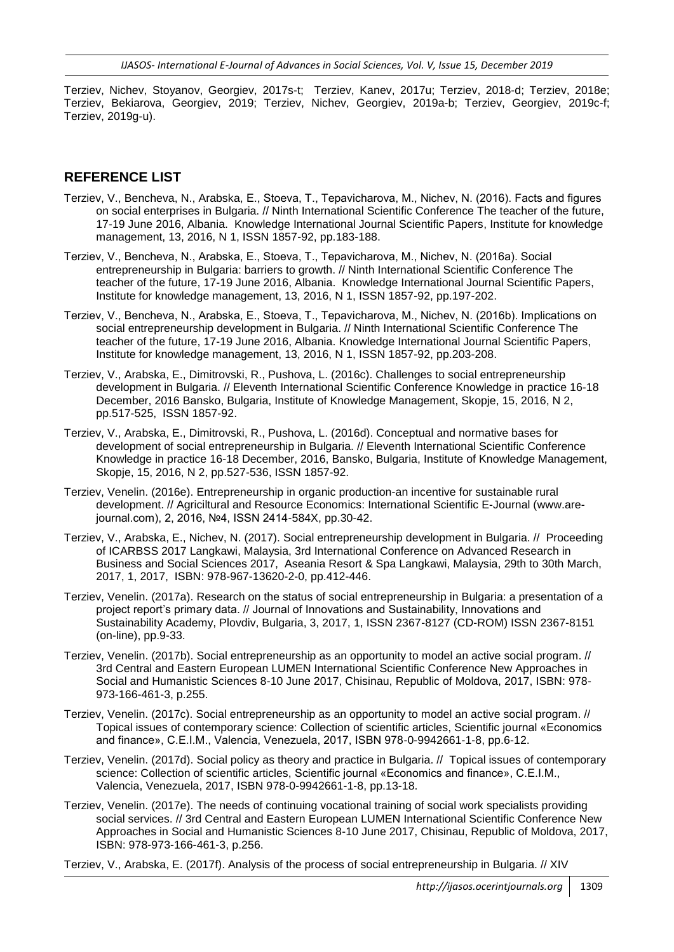Terziev, Nichev, Stoyanov, Georgiev, 2017s-t; Terziev, Kanev, 2017u; Terziev, 2018-d; Terziev, 2018e; Terziev, Bekiarova, Georgiev, 2019; Terziev, Nichev, Georgiev, 2019a-b; Terziev, Georgiev, 2019c-f; Terziev, 2019g-u).

### **REFERENCE LIST**

- Terziev, V., Bencheva, N., Arabska, Е., Stoeva, Т., Tepavicharova, М., Nichev, N. (2016). Facts and figures on social enterprises in Bulgaria. // Ninth International Scientific Conference The teacher of the future, 17-19 June 2016, Albania. Knowledge International Journal Scientific Papers, Institute for knowledge management, 13, 2016, N 1, ISSN 1857-92, pp.183-188.
- Terziev, V., Bencheva, N., Arabska, Е., Stoeva, Т., Tepavicharova, М., Nichev, N. (2016a). Social entrepreneurship in Bulgaria: barriers to growth. // Ninth International Scientific Conference The teacher of the future, 17-19 June 2016, Albania. Knowledge International Journal Scientific Papers, Institute for knowledge management, 13, 2016, N 1, ISSN 1857-92, pp.197-202.
- Terziev, V., Bencheva, N., Arabska, Е., Stoeva, Т., Tepavicharova, М., Nichev, N. (2016b). Implications on social entrepreneurship development in Bulgaria. // Ninth International Scientific Conference The teacher of the future, 17-19 June 2016, Albania. Knowledge International Journal Scientific Papers, Institute for knowledge management, 13, 2016, N 1, ISSN 1857-92, pp.203-208.
- Terziev, V., Arabska, E., Dimitrovski, R., Pushova, L. (2016c). Challenges to social entrepreneurship development in Bulgaria. // Eleventh International Scientific Conference Knowledge in practice 16-18 December, 2016 Bansko, Bulgaria, Institute of Knowledge Management, Skopje, 15, 2016, N 2, pp.517-525, ISSN 1857-92.
- Terziev, V., Arabska, E., Dimitrovski, R., Pushova, L. (2016d). Conceptual and normative bases for development of social entrepreneurship in Bulgaria. // Eleventh International Scientific Conference Knowledge in practice 16-18 December, 2016, Bansko, Bulgaria, Institute of Knowledge Management, Skopje, 15, 2016, N 2, pp.527-536, ISSN 1857-92.
- Terziev, Venelin. (2016e). Entrepreneurship in organic production-an incentive for sustainable rural development. // Agriciltural and Resource Economics: International Scientific E-Journal (www.arejournal.com), 2, 2016, №4, ISSN 2414-584X, pp.30-42.
- Terziev, V., Arabska, E., Nichev, N. (2017). Social entrepreneurship development in Bulgaria. // Proceeding of ICARBSS 2017 Langkawi, Malaysia, 3rd International Conference on Advanced Research in Business and Social Sciences 2017, Aseania Resort & Spa Langkawi, Malaysia, 29th to 30th March, 2017, 1, 2017, ISBN: 978-967-13620-2-0, pp.412-446.
- Terziev, Venelin. (2017a). Research on the status of social entrepreneurship in Bulgaria: a presentation of a project report"s primary data. // Journal of Innovations and Sustainability, Innovations and Sustainability Academy, Plovdiv, Bulgaria, 3, 2017, 1, ISSN 2367-8127 (CD-ROM) ISSN 2367-8151 (on-line), pp.9-33.
- Terziev, Venelin. (2017b). Social entrepreneurship as an opportunity to model an active social program. // 3rd Central and Eastern European LUMEN International Scientific Conference New Approaches in Social and Humanistic Sciences 8-10 June 2017, Chisinau, Republic of Moldova, 2017, ISBN: 978- 973-166-461-3, p.255.
- Terziev, Venelin. (2017c). Social entrepreneurship as an opportunity to model an active social program. // Topical issues of contemporary science: Collection of scientific articles, Scientific journal «Economics and finance», C.E.I.M., Valencia, Venezuela, 2017, ISBN 978-0-9942661-1-8, pp.6-12.
- Terziev, Venelin. (2017d). Social policy as theory and practice in Bulgaria. // Topical issues of contemporary science: Collection of scientific articles, Scientific journal «Economics and finance», C.E.I.M., Valencia, Venezuela, 2017, ISBN 978-0-9942661-1-8, pp.13-18.
- Terziev, Venelin. (2017e). The needs of continuing vocational training of social work specialists providing social services. // 3rd Central and Eastern European LUMEN International Scientific Conference New Approaches in Social and Humanistic Sciences 8-10 June 2017, Chisinau, Republic of Moldova, 2017, ISBN: 978-973-166-461-3, p.256.

Terziev, V., Arabska, E. (2017f). Analysis of the process of social entrepreneurship in Bulgaria. // XIV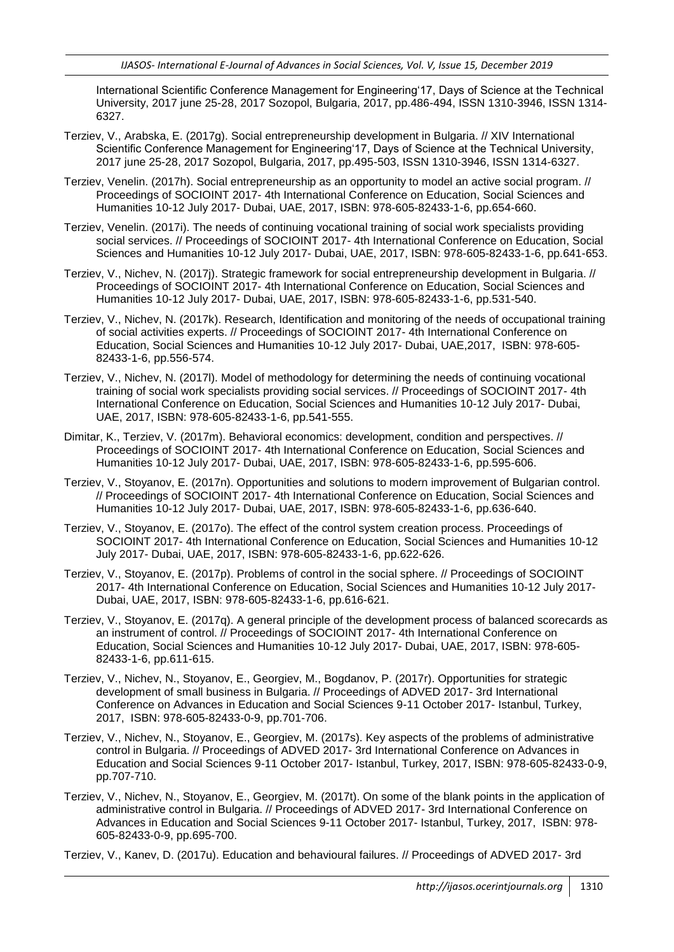International Scientific Conference Management for Engineering"17, Days of Science at the Technical University, 2017 june 25-28, 2017 Sozopol, Bulgaria, 2017, pp.486-494, ISSN 1310-3946, ISSN 1314- 6327.

- Terziev, V., Arabska, E. (2017g). Social entrepreneurship development in Bulgaria. // XIV International Scientific Conference Management for Engineering'17, Days of Science at the Technical University, 2017 june 25-28, 2017 Sozopol, Bulgaria, 2017, pp.495-503, ISSN 1310-3946, ISSN 1314-6327.
- Terziev, Venelin. (2017h). Social entrepreneurship as an opportunity to model an active social program. // Proceedings of SOCIOINT 2017- 4th International Conference on Education, Social Sciences and Humanities 10-12 July 2017- Dubai, UAE, 2017, ISBN: 978-605-82433-1-6, pp.654-660.
- Terziev, Venelin. (2017i). The needs of continuing vocational training of social work specialists providing social services. // Proceedings of SOCIOINT 2017- 4th International Conference on Education, Social Sciences and Humanities 10-12 July 2017- Dubai, UAE, 2017, ISBN: 978-605-82433-1-6, pp.641-653.
- Terziev, V., Nichev, N. (2017j). Strategic framework for social entrepreneurship development in Bulgaria. // Proceedings of SOCIOINT 2017- 4th International Conference on Education, Social Sciences and Humanities 10-12 July 2017- Dubai, UAE, 2017, ISBN: 978-605-82433-1-6, pp.531-540.
- Terziev, V., Nichev, N. (2017k). Research, Identification and monitoring of the needs of occupational training of social activities experts. // Proceedings of SOCIOINT 2017- 4th International Conference on Education, Social Sciences and Humanities 10-12 July 2017- Dubai, UAE,2017, ISBN: 978-605- 82433-1-6, pp.556-574.
- Terziev, V., Nichev, N. (2017l). Model of methodology for determining the needs of continuing vocational training of social work specialists providing social services. // Proceedings of SOCIOINT 2017- 4th International Conference on Education, Social Sciences and Humanities 10-12 July 2017- Dubai, UAE, 2017, ISBN: 978-605-82433-1-6, pp.541-555.
- Dimitar, K., Terziev, V. (2017m). Behavioral economics: development, condition and perspectives. // Proceedings of SOCIOINT 2017- 4th International Conference on Education, Social Sciences and Humanities 10-12 July 2017- Dubai, UAE, 2017, ISBN: 978-605-82433-1-6, pp.595-606.
- Terziev, V., Stoyanov, E. (2017n). Opportunities and solutions to modern improvement of Bulgarian control. // Proceedings of SOCIOINT 2017- 4th International Conference on Education, Social Sciences and Humanities 10-12 July 2017- Dubai, UAE, 2017, ISBN: 978-605-82433-1-6, pp.636-640.
- Terziev, V., Stoyanov, E. (2017o). The effect of the control system creation process. Proceedings of SOCIOINT 2017- 4th International Conference on Education, Social Sciences and Humanities 10-12 July 2017- Dubai, UAE, 2017, ISBN: 978-605-82433-1-6, pp.622-626.
- Terziev, V., Stoyanov, E. (2017p). Problems of control in the social sphere. // Proceedings of SOCIOINT 2017- 4th International Conference on Education, Social Sciences and Humanities 10-12 July 2017- Dubai, UAE, 2017, ISBN: 978-605-82433-1-6, pp.616-621.
- Terziev, V., Stoyanov, E. (2017q). A general principle of the development process of balanced scorecards as an instrument of control. // Proceedings of SOCIOINT 2017- 4th International Conference on Education, Social Sciences and Humanities 10-12 July 2017- Dubai, UAE, 2017, ISBN: 978-605- 82433-1-6, pp.611-615.
- Terziev, V., Nichev, N., Stoyanov, E., Georgiev, M., Bogdanov, P. (2017r). Opportunities for strategic development of small business in Bulgaria. // Proceedings of ADVED 2017- 3rd International Conference on Advances in Education and Social Sciences 9-11 October 2017- Istanbul, Turkey, 2017, ISBN: 978-605-82433-0-9, pp.701-706.
- Terziev, V., Nichev, N., Stoyanov, E., Georgiev, M. (2017s). Key aspects of the problems of administrative control in Bulgaria. // Proceedings of ADVED 2017- 3rd International Conference on Advances in Education and Social Sciences 9-11 October 2017- Istanbul, Turkey, 2017, ISBN: 978-605-82433-0-9, pp.707-710.
- Terziev, V., Nichev, N., Stoyanov, E., Georgiev, M. (2017t). On some of the blank points in the application of administrative control in Bulgaria. // Proceedings of ADVED 2017- 3rd International Conference on Advances in Education and Social Sciences 9-11 October 2017- Istanbul, Turkey, 2017, ISBN: 978- 605-82433-0-9, pp.695-700.

Terziev, V., Kanev, D. (2017u). Education and behavioural failures. // Proceedings of ADVED 2017- 3rd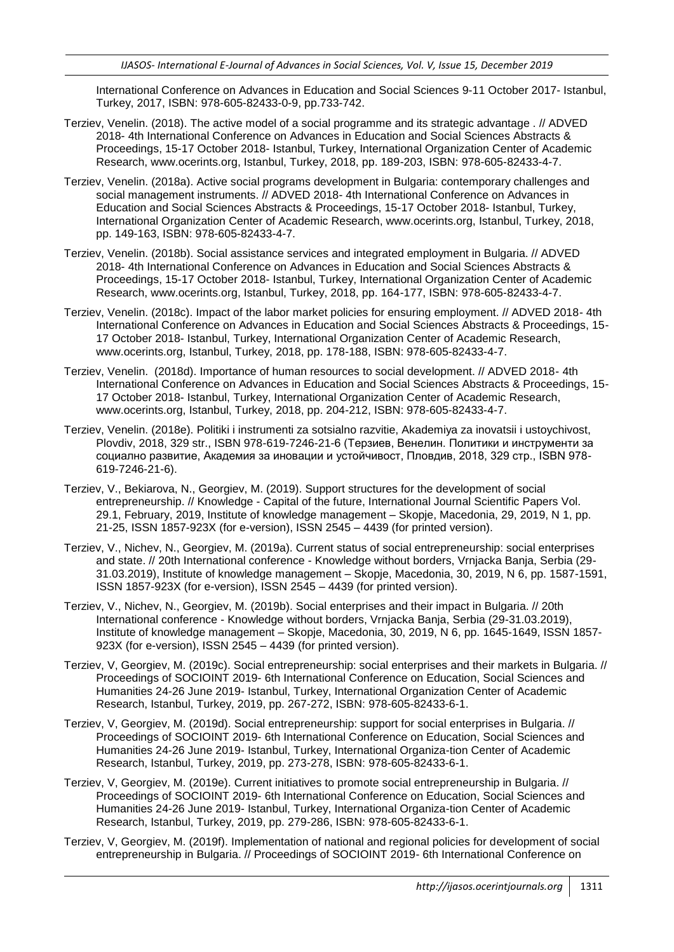International Conference on Advances in Education and Social Sciences 9-11 October 2017- Istanbul, Turkey, 2017, ISBN: 978-605-82433-0-9, pp.733-742.

- Terziev, Venelin. (2018). The active model of a social programme and its strategic advantage . // ADVED 2018- 4th International Conference on Advances in Education and Social Sciences Abstracts & Proceedings, 15-17 October 2018- Istanbul, Turkey, International Organization Center of Academic Research, www.ocerints.org, Istanbul, Turkey, 2018, pp. 189-203, ISBN: 978-605-82433-4-7.
- Terziev, Venelin. (2018a). Active social programs development in Bulgaria: contemporary challenges and social management instruments. // ADVED 2018- 4th International Conference on Advances in Education and Social Sciences Abstracts & Proceedings, 15-17 October 2018- Istanbul, Turkey, International Organization Center of Academic Research, www.ocerints.org, Istanbul, Turkey, 2018, pp. 149-163, ISBN: 978-605-82433-4-7.
- Terziev, Venelin. (2018b). Social assistance services and integrated employment in Bulgaria. // ADVED 2018- 4th International Conference on Advances in Education and Social Sciences Abstracts & Proceedings, 15-17 October 2018- Istanbul, Turkey, International Organization Center of Academic Research, www.ocerints.org, Istanbul, Turkey, 2018, pp. 164-177, ISBN: 978-605-82433-4-7.
- Terziev, Venelin. (2018c). Impact of the labor market policies for ensuring employment. // ADVED 2018- 4th International Conference on Advances in Education and Social Sciences Abstracts & Proceedings, 15- 17 October 2018- Istanbul, Turkey, International Organization Center of Academic Research, www.ocerints.org, Istanbul, Turkey, 2018, pp. 178-188, ISBN: 978-605-82433-4-7.
- Terziev, Venelin. (2018d). Importance of human resources to social development. // ADVED 2018- 4th International Conference on Advances in Education and Social Sciences Abstracts & Proceedings, 15- 17 October 2018- Istanbul, Turkey, International Organization Center of Academic Research, www.ocerints.org, Istanbul, Turkey, 2018, pp. 204-212, ISBN: 978-605-82433-4-7.
- Terziev, Venelin. (2018e). Politiki i instrumenti za sotsialno razvitie, Akademiya za inovatsii i ustoychivost, Plovdiv, 2018, 329 str., ISBN 978-619-7246-21-6 (Терзиев, Венелин. Политики и инструменти за социално развитие, Академия за иновации и устойчивост, Пловдив, 2018, 329 стр., ISBN 978- 619-7246-21-6).
- Terziev, V., Bekiarova, N., Georgiev, M. (2019). Support structures for the development of social entrepreneurship. // Knowledge - Capital of the future, International Journal Scientific Papers Vol. 29.1, February, 2019, Institute of knowledge management – Skopje, Macedonia, 29, 2019, N 1, pp. 21-25, ISSN 1857-923X (for e-version), ISSN 2545 – 4439 (for printed version).
- Terziev, V., Nichev, N., Georgiev, M. (2019a). Current status of social entrepreneurship: social enterprises and state. // 20th International conference - Knowledge without borders, Vrnjacka Banja, Serbia (29- 31.03.2019), Institute of knowledge management – Skopje, Macedonia, 30, 2019, N 6, pp. 1587-1591, ISSN 1857-923X (for e-version), ISSN 2545 – 4439 (for printed version).
- Terziev, V., Nichev, N., Georgiev, M. (2019b). Social enterprises and their impact in Bulgaria. // 20th International conference - Knowledge without borders, Vrnjacka Banja, Serbia (29-31.03.2019), Institute of knowledge management – Skopje, Macedonia, 30, 2019, N 6, pp. 1645-1649, ISSN 1857- 923X (for e-version), ISSN 2545 – 4439 (for printed version).
- Terziev, V, Georgiev, M. (2019c). Social entrepreneurship: social enterprises and their markets in Bulgaria. // Proceedings of SOCIOINT 2019- 6th International Conference on Education, Social Sciences and Humanities 24-26 June 2019- Istanbul, Turkey, International Organization Center of Academic Research, Istanbul, Turkey, 2019, pp. 267-272, ISBN: 978-605-82433-6-1.
- Terziev, V, Georgiev, M. (2019d). Social entrepreneurship: support for social enterprises in Bulgaria. // Proceedings of SOCIOINT 2019- 6th International Conference on Education, Social Sciences and Humanities 24-26 June 2019- Istanbul, Turkey, International Organiza-tion Center of Academic Research, Istanbul, Turkey, 2019, pp. 273-278, ISBN: 978-605-82433-6-1.
- Terziev, V, Georgiev, M. (2019e). Current initiatives to promote social entrepreneurship in Bulgaria. // Proceedings of SOCIOINT 2019- 6th International Conference on Education, Social Sciences and Humanities 24-26 June 2019- Istanbul, Turkey, International Organiza-tion Center of Academic Research, Istanbul, Turkey, 2019, pp. 279-286, ISBN: 978-605-82433-6-1.
- Terziev, V, Georgiev, M. (2019f). Implementation of national and regional policies for development of social entrepreneurship in Bulgaria. // Proceedings of SOCIOINT 2019- 6th International Conference on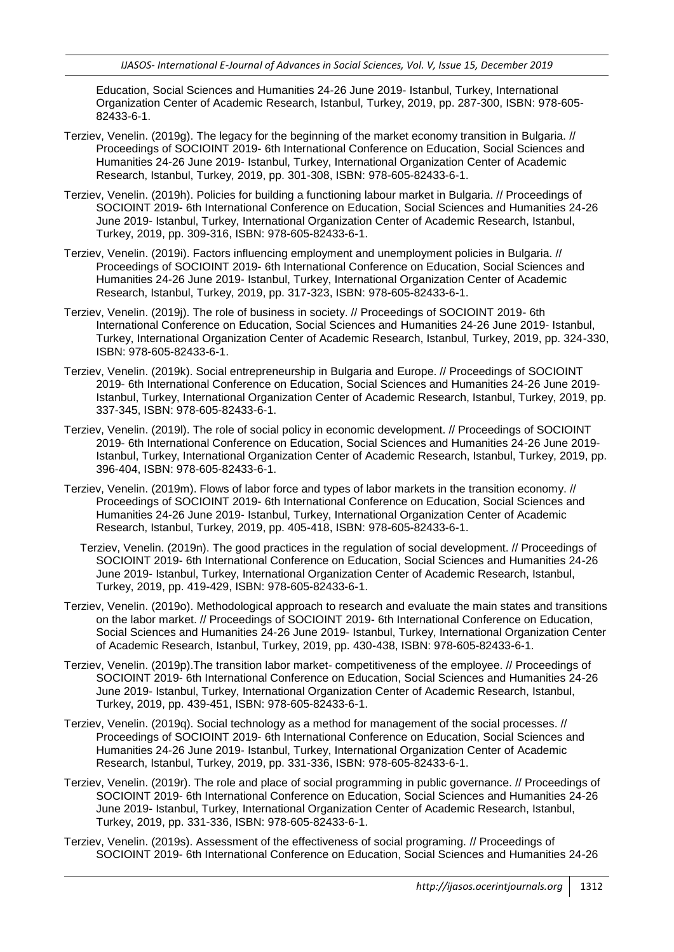Education, Social Sciences and Humanities 24-26 June 2019- Istanbul, Turkey, International Organization Center of Academic Research, Istanbul, Turkey, 2019, pp. 287-300, ISBN: 978-605- 82433-6-1.

- Terziev, Venelin. (2019g). The legacy for the beginning of the market economy transition in Bulgaria. // Proceedings of SOCIOINT 2019- 6th International Conference on Education, Social Sciences and Humanities 24-26 June 2019- Istanbul, Turkey, International Organization Center of Academic Research, Istanbul, Turkey, 2019, pp. 301-308, ISBN: 978-605-82433-6-1.
- Terziev, Venelin. (2019h). Policies for building a functioning labour market in Bulgaria. // Proceedings of SOCIOINT 2019- 6th International Conference on Education, Social Sciences and Humanities 24-26 June 2019- Istanbul, Turkey, International Organization Center of Academic Research, Istanbul, Turkey, 2019, pp. 309-316, ISBN: 978-605-82433-6-1.
- Terziev, Venelin. (2019i). Factors influencing employment and unemployment policies in Bulgaria. // Proceedings of SOCIOINT 2019- 6th International Conference on Education, Social Sciences and Humanities 24-26 June 2019- Istanbul, Turkey, International Organization Center of Academic Research, Istanbul, Turkey, 2019, pp. 317-323, ISBN: 978-605-82433-6-1.
- Terziev, Venelin. (2019j). The role of business in society. // Proceedings of SOCIOINT 2019- 6th International Conference on Education, Social Sciences and Humanities 24-26 June 2019- Istanbul, Turkey, International Organization Center of Academic Research, Istanbul, Turkey, 2019, pp. 324-330, ISBN: 978-605-82433-6-1.
- Terziev, Venelin. (2019k). Social entrepreneurship in Bulgaria and Europe. // Proceedings of SOCIOINT 2019- 6th International Conference on Education, Social Sciences and Humanities 24-26 June 2019- Istanbul, Turkey, International Organization Center of Academic Research, Istanbul, Turkey, 2019, pp. 337-345, ISBN: 978-605-82433-6-1.
- Terziev, Venelin. (2019l). The role of social policy in economic development. // Proceedings of SOCIOINT 2019- 6th International Conference on Education, Social Sciences and Humanities 24-26 June 2019- Istanbul, Turkey, International Organization Center of Academic Research, Istanbul, Turkey, 2019, pp. 396-404, ISBN: 978-605-82433-6-1.
- Terziev, Venelin. (2019m). Flows of labor force and types of labor markets in the transition economy. // Proceedings of SOCIOINT 2019- 6th International Conference on Education, Social Sciences and Humanities 24-26 June 2019- Istanbul, Turkey, International Organization Center of Academic Research, Istanbul, Turkey, 2019, pp. 405-418, ISBN: 978-605-82433-6-1.
	- Terziev, Venelin. (2019n). The good practices in the regulation of social development. // Proceedings of SOCIOINT 2019- 6th International Conference on Education, Social Sciences and Humanities 24-26 June 2019- Istanbul, Turkey, International Organization Center of Academic Research, Istanbul, Turkey, 2019, pp. 419-429, ISBN: 978-605-82433-6-1.
- Terziev, Venelin. (2019o). Methodological approach to research and evaluate the main states and transitions on the labor market. // Proceedings of SOCIOINT 2019- 6th International Conference on Education, Social Sciences and Humanities 24-26 June 2019- Istanbul, Turkey, International Organization Center of Academic Research, Istanbul, Turkey, 2019, pp. 430-438, ISBN: 978-605-82433-6-1.
- Terziev, Venelin. (2019p).The transition labor market- competitiveness of the employee. // Proceedings of SOCIOINT 2019- 6th International Conference on Education, Social Sciences and Humanities 24-26 June 2019- Istanbul, Turkey, International Organization Center of Academic Research, Istanbul, Turkey, 2019, pp. 439-451, ISBN: 978-605-82433-6-1.
- Terziev, Venelin. (2019q). Social technology as a method for management of the social processes. // Proceedings of SOCIOINT 2019- 6th International Conference on Education, Social Sciences and Humanities 24-26 June 2019- Istanbul, Turkey, International Organization Center of Academic Research, Istanbul, Turkey, 2019, pp. 331-336, ISBN: 978-605-82433-6-1.
- Terziev, Venelin. (2019r). The role and place of social programming in public governance. // Proceedings of SOCIOINT 2019- 6th International Conference on Education, Social Sciences and Humanities 24-26 June 2019- Istanbul, Turkey, International Organization Center of Academic Research, Istanbul, Turkey, 2019, pp. 331-336, ISBN: 978-605-82433-6-1.
- Terziev, Venelin. (2019s). Assessment of the effectiveness of social programing. // Proceedings of SOCIOINT 2019- 6th International Conference on Education, Social Sciences and Humanities 24-26